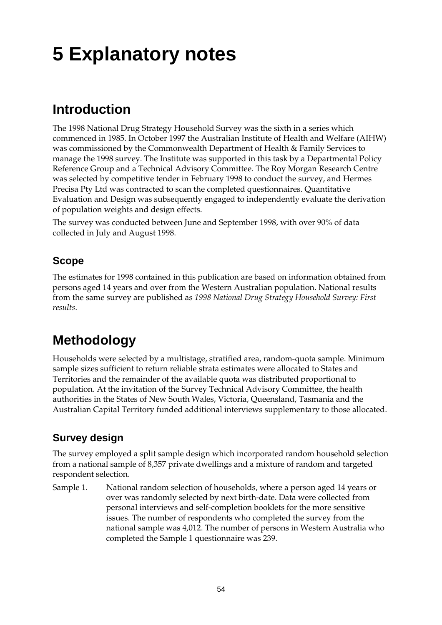# **5 Explanatory notes**

# **Introduction**

The 1998 National Drug Strategy Household Survey was the sixth in a series which commenced in 1985. In October 1997 the Australian Institute of Health and Welfare (AIHW) was commissioned by the Commonwealth Department of Health & Family Services to manage the 1998 survey. The Institute was supported in this task by a Departmental Policy Reference Group and a Technical Advisory Committee. The Roy Morgan Research Centre was selected by competitive tender in February 1998 to conduct the survey, and Hermes Precisa Pty Ltd was contracted to scan the completed questionnaires. Quantitative Evaluation and Design was subsequently engaged to independently evaluate the derivation of population weights and design effects.

The survey was conducted between June and September 1998, with over 90% of data collected in July and August 1998.

## **Scope**

The estimates for 1998 contained in this publication are based on information obtained from persons aged 14 years and over from the Western Australian population. National results from the same survey are published as *1998 National Drug Strategy Household Survey: First results*.

# **Methodology**

Households were selected by a multistage, stratified area, random-quota sample. Minimum sample sizes sufficient to return reliable strata estimates were allocated to States and Territories and the remainder of the available quota was distributed proportional to population. At the invitation of the Survey Technical Advisory Committee, the health authorities in the States of New South Wales, Victoria, Queensland, Tasmania and the Australian Capital Territory funded additional interviews supplementary to those allocated.

## **Survey design**

The survey employed a split sample design which incorporated random household selection from a national sample of 8,357 private dwellings and a mixture of random and targeted respondent selection.

Sample 1. National random selection of households, where a person aged 14 years or over was randomly selected by next birth-date. Data were collected from personal interviews and self-completion booklets for the more sensitive issues. The number of respondents who completed the survey from the national sample was 4,012. The number of persons in Western Australia who completed the Sample 1 questionnaire was 239.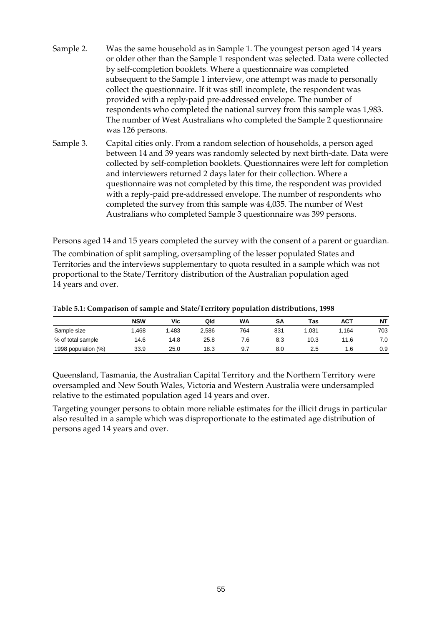- Sample 2. Was the same household as in Sample 1. The youngest person aged 14 years or older other than the Sample 1 respondent was selected. Data were collected by self-completion booklets. Where a questionnaire was completed subsequent to the Sample 1 interview, one attempt was made to personally collect the questionnaire. If it was still incomplete, the respondent was provided with a reply-paid pre-addressed envelope. The number of respondents who completed the national survey from this sample was 1,983. The number of West Australians who completed the Sample 2 questionnaire was 126 persons.
- Sample 3. Capital cities only. From a random selection of households, a person aged between 14 and 39 years was randomly selected by next birth-date. Data were collected by self-completion booklets. Questionnaires were left for completion and interviewers returned 2 days later for their collection. Where a questionnaire was not completed by this time, the respondent was provided with a reply-paid pre-addressed envelope. The number of respondents who completed the survey from this sample was 4,035. The number of West Australians who completed Sample 3 questionnaire was 399 persons.

Persons aged 14 and 15 years completed the survey with the consent of a parent or guardian.

The combination of split sampling, oversampling of the lesser populated States and Territories and the interviews supplementary to quota resulted in a sample which was not proportional to the State/Territory distribution of the Australian population aged 14 years and over.

|                     | <b>NSW</b> | Vic  | Qld   | <b>WA</b> | SΑ  | Tas  | <b>ACT</b> | <b>NT</b> |
|---------------------|------------|------|-------|-----------|-----|------|------------|-----------|
| Sample size         | .468       | .483 | 2.586 | 764       | 831 | .031 | .164       | 703       |
| % of total sample   | 14.6       | 14.8 | 25.8  | 7.6       | 8.3 | 10.3 | 1.6        | 7.0       |
| 1998 population (%) | 33.9       | 25.0 | 18.3  | 9.7       | 8.0 | 2.5  | 1.6        | 0.9       |

#### **Table 5.1: Comparison of sample and State/Territory population distributions, 1998**

Queensland, Tasmania, the Australian Capital Territory and the Northern Territory were oversampled and New South Wales, Victoria and Western Australia were undersampled relative to the estimated population aged 14 years and over.

Targeting younger persons to obtain more reliable estimates for the illicit drugs in particular also resulted in a sample which was disproportionate to the estimated age distribution of persons aged 14 years and over.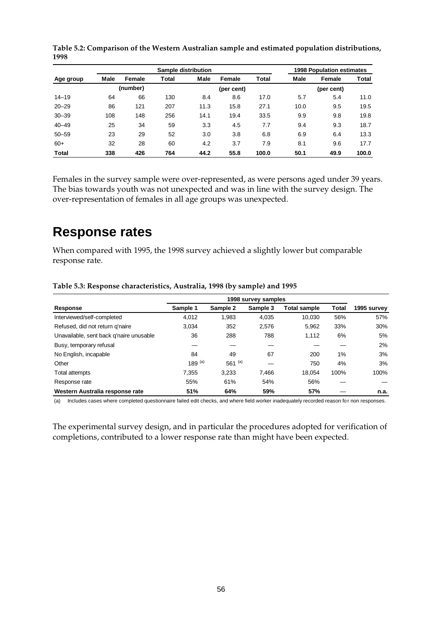|              | Sample distribution |        |       |            |        |       | <b>1998 Population estimates</b> |        |       |
|--------------|---------------------|--------|-------|------------|--------|-------|----------------------------------|--------|-------|
| Age group    | Male                | Female | Total | Male       | Female | Total | Male                             | Female | Total |
|              | (number)            |        |       | (per cent) |        |       | (per cent)                       |        |       |
| $14 - 19$    | 64                  | 66     | 130   | 8.4        | 8.6    | 17.0  | 5.7                              | 5.4    | 11.0  |
| $20 - 29$    | 86                  | 121    | 207   | 11.3       | 15.8   | 27.1  | 10.0                             | 9.5    | 19.5  |
| $30 - 39$    | 108                 | 148    | 256   | 14.1       | 19.4   | 33.5  | 9.9                              | 9.8    | 19.8  |
| $40 - 49$    | 25                  | 34     | 59    | 3.3        | 4.5    | 7.7   | 9.4                              | 9.3    | 18.7  |
| $50 - 59$    | 23                  | 29     | 52    | 3.0        | 3.8    | 6.8   | 6.9                              | 6.4    | 13.3  |
| $60+$        | 32                  | 28     | 60    | 4.2        | 3.7    | 7.9   | 8.1                              | 9.6    | 17.7  |
| <b>Total</b> | 338                 | 426    | 764   | 44.2       | 55.8   | 100.0 | 50.1                             | 49.9   | 100.0 |

**Table 5.2: Comparison of the Western Australian sample and estimated population distributions, 1998**

Females in the survey sample were over-represented, as were persons aged under 39 years. The bias towards youth was not unexpected and was in line with the survey design. The over-representation of females in all age groups was unexpected.

# **Response rates**

When compared with 1995, the 1998 survey achieved a slightly lower but comparable response rate.

| Response                                | Sample 1  | Sample 2  | Sample 3 | <b>Total sample</b> | Total | 1995 survey |
|-----------------------------------------|-----------|-----------|----------|---------------------|-------|-------------|
| Interviewed/self-completed              | 4,012     | 1,983     | 4,035    | 10.030              | 56%   | 57%         |
| Refused, did not return g'naire         | 3.034     | 352       | 2,576    | 5,962               | 33%   | 30%         |
| Unavailable, sent back g'naire unusable | 36        | 288       | 788      | 1.112               | 6%    | 5%          |
| Busy, temporary refusal                 |           |           |          |                     |       | 2%          |
| No English, incapable                   | 84        | 49        | 67       | 200                 | 1%    | 3%          |
| Other                                   | 189 $(a)$ | 561 $(a)$ |          | 750                 | 4%    | 3%          |
| Total attempts                          | 7.355     | 3.233     | 7.466    | 18.054              | 100%  | 100%        |
| Response rate                           | 55%       | 61%       | 54%      | 56%                 |       |             |
| Western Australia response rate         | 51%       | 64%       | 59%      | 57%                 |       | n.a.        |

**Table 5.3: Response characteristics, Australia, 1998 (by sample) and 1995**

(a) Includes cases where completed questionnaire failed edit checks, and where field worker inadequately recorded reason for non responses.

The experimental survey design, and in particular the procedures adopted for verification of completions, contributed to a lower response rate than might have been expected.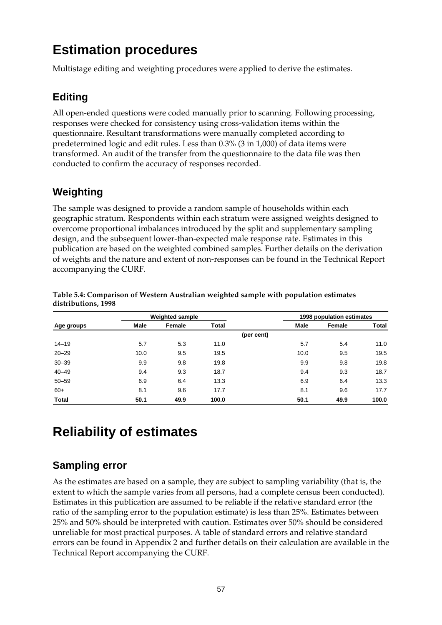# **Estimation procedures**

Multistage editing and weighting procedures were applied to derive the estimates.

### **Editing**

All open-ended questions were coded manually prior to scanning. Following processing, responses were checked for consistency using cross-validation items within the questionnaire. Resultant transformations were manually completed according to predetermined logic and edit rules. Less than 0.3% (3 in 1,000) of data items were transformed. An audit of the transfer from the questionnaire to the data file was then conducted to confirm the accuracy of responses recorded.

### **Weighting**

The sample was designed to provide a random sample of households within each geographic stratum. Respondents within each stratum were assigned weights designed to overcome proportional imbalances introduced by the split and supplementary sampling design, and the subsequent lower-than-expected male response rate. Estimates in this publication are based on the weighted combined samples. Further details on the derivation of weights and the nature and extent of non-responses can be found in the Technical Report accompanying the CURF.

|            | <b>Weighted sample</b> |        |       |            | 1998 population estimates |        |       |
|------------|------------------------|--------|-------|------------|---------------------------|--------|-------|
| Age groups | Male                   | Female | Total |            | Male                      | Female | Total |
|            |                        |        |       | (per cent) |                           |        |       |
| $14 - 19$  | 5.7                    | 5.3    | 11.0  |            | 5.7                       | 5.4    | 11.0  |
| $20 - 29$  | 10.0                   | 9.5    | 19.5  |            | 10.0                      | 9.5    | 19.5  |
| $30 - 39$  | 9.9                    | 9.8    | 19.8  |            | 9.9                       | 9.8    | 19.8  |
| $40 - 49$  | 9.4                    | 9.3    | 18.7  |            | 9.4                       | 9.3    | 18.7  |
| $50 - 59$  | 6.9                    | 6.4    | 13.3  |            | 6.9                       | 6.4    | 13.3  |
| $60+$      | 8.1                    | 9.6    | 17.7  |            | 8.1                       | 9.6    | 17.7  |
| Total      | 50.1                   | 49.9   | 100.0 |            | 50.1                      | 49.9   | 100.0 |

**Table 5.4: Comparison of Western Australian weighted sample with population estimates distributions, 1998**

# **Reliability of estimates**

### **Sampling error**

As the estimates are based on a sample, they are subject to sampling variability (that is, the extent to which the sample varies from all persons, had a complete census been conducted). Estimates in this publication are assumed to be reliable if the relative standard error (the ratio of the sampling error to the population estimate) is less than 25%. Estimates between 25% and 50% should be interpreted with caution. Estimates over 50% should be considered unreliable for most practical purposes. A table of standard errors and relative standard errors can be found in Appendix 2 and further details on their calculation are available in the Technical Report accompanying the CURF.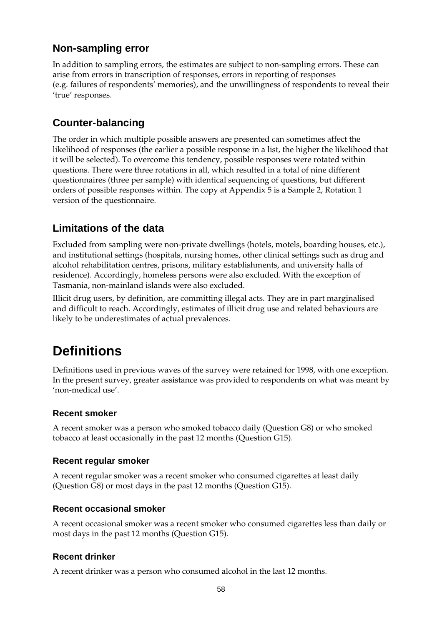### **Non-sampling error**

In addition to sampling errors, the estimates are subject to non-sampling errors. These can arise from errors in transcription of responses, errors in reporting of responses (e.g. failures of respondents' memories), and the unwillingness of respondents to reveal their 'true' responses.

### **Counter-balancing**

The order in which multiple possible answers are presented can sometimes affect the likelihood of responses (the earlier a possible response in a list, the higher the likelihood that it will be selected). To overcome this tendency, possible responses were rotated within questions. There were three rotations in all, which resulted in a total of nine different questionnaires (three per sample) with identical sequencing of questions, but different orders of possible responses within. The copy at Appendix 5 is a Sample 2, Rotation 1 version of the questionnaire.

### **Limitations of the data**

Excluded from sampling were non-private dwellings (hotels, motels, boarding houses, etc.), and institutional settings (hospitals, nursing homes, other clinical settings such as drug and alcohol rehabilitation centres, prisons, military establishments, and university halls of residence). Accordingly, homeless persons were also excluded. With the exception of Tasmania, non-mainland islands were also excluded.

Illicit drug users, by definition, are committing illegal acts. They are in part marginalised and difficult to reach. Accordingly, estimates of illicit drug use and related behaviours are likely to be underestimates of actual prevalences.

# **Definitions**

Definitions used in previous waves of the survey were retained for 1998, with one exception. In the present survey, greater assistance was provided to respondents on what was meant by 'non-medical use'.

### **Recent smoker**

A recent smoker was a person who smoked tobacco daily (Question G8) or who smoked tobacco at least occasionally in the past 12 months (Question G15).

### **Recent regular smoker**

A recent regular smoker was a recent smoker who consumed cigarettes at least daily (Question G8) or most days in the past 12 months (Question G15).

### **Recent occasional smoker**

A recent occasional smoker was a recent smoker who consumed cigarettes less than daily or most days in the past 12 months (Question G15).

### **Recent drinker**

A recent drinker was a person who consumed alcohol in the last 12 months.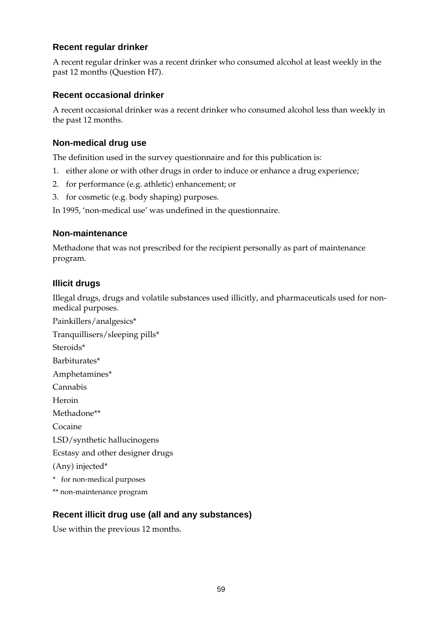#### **Recent regular drinker**

A recent regular drinker was a recent drinker who consumed alcohol at least weekly in the past 12 months (Question H7).

#### **Recent occasional drinker**

A recent occasional drinker was a recent drinker who consumed alcohol less than weekly in the past 12 months.

#### **Non-medical drug use**

The definition used in the survey questionnaire and for this publication is:

- 1. either alone or with other drugs in order to induce or enhance a drug experience;
- 2. for performance (e.g. athletic) enhancement; or
- 3. for cosmetic (e.g. body shaping) purposes.

In 1995, 'non-medical use' was undefined in the questionnaire.

#### **Non-maintenance**

Methadone that was not prescribed for the recipient personally as part of maintenance program.

#### **Illicit drugs**

Illegal drugs, drugs and volatile substances used illicitly, and pharmaceuticals used for nonmedical purposes.

Painkillers/analgesics\* Tranquillisers/sleeping pills\* Steroids\* Barbiturates\* Amphetamines\* Cannabis Heroin Methadone\*\* Cocaine LSD/synthetic hallucinogens Ecstasy and other designer drugs (Any) injected\* \* for non-medical purposes \*\* non-maintenance program

### **Recent illicit drug use (all and any substances)**

Use within the previous 12 months.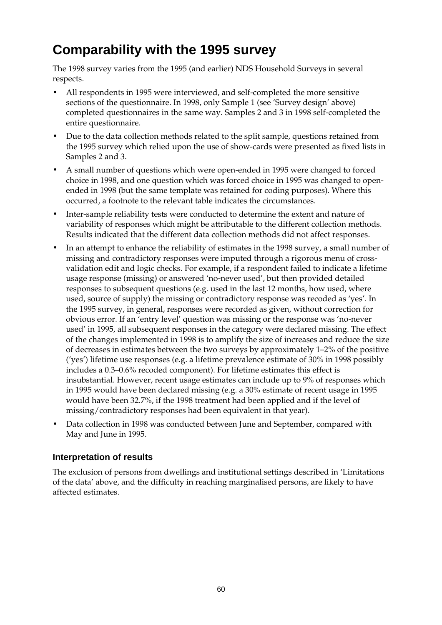# **Comparability with the 1995 survey**

The 1998 survey varies from the 1995 (and earlier) NDS Household Surveys in several respects.

- All respondents in 1995 were interviewed, and self-completed the more sensitive sections of the questionnaire. In 1998, only Sample 1 (see 'Survey design' above) completed questionnaires in the same way. Samples 2 and 3 in 1998 self-completed the entire questionnaire.
- Due to the data collection methods related to the split sample, questions retained from the 1995 survey which relied upon the use of show-cards were presented as fixed lists in Samples 2 and 3.
- A small number of questions which were open-ended in 1995 were changed to forced choice in 1998, and one question which was forced choice in 1995 was changed to openended in 1998 (but the same template was retained for coding purposes). Where this occurred, a footnote to the relevant table indicates the circumstances.
- Inter-sample reliability tests were conducted to determine the extent and nature of variability of responses which might be attributable to the different collection methods. Results indicated that the different data collection methods did not affect responses.
- In an attempt to enhance the reliability of estimates in the 1998 survey, a small number of missing and contradictory responses were imputed through a rigorous menu of crossvalidation edit and logic checks. For example, if a respondent failed to indicate a lifetime usage response (missing) or answered 'no-never used', but then provided detailed responses to subsequent questions (e.g. used in the last 12 months, how used, where used, source of supply) the missing or contradictory response was recoded as 'yes'. In the 1995 survey, in general, responses were recorded as given, without correction for obvious error. If an 'entry level' question was missing or the response was 'no-never used' in 1995, all subsequent responses in the category were declared missing. The effect of the changes implemented in 1998 is to amplify the size of increases and reduce the size of decreases in estimates between the two surveys by approximately 1–2% of the positive ('yes') lifetime use responses (e.g. a lifetime prevalence estimate of 30% in 1998 possibly includes a 0.3–0.6% recoded component). For lifetime estimates this effect is insubstantial. However, recent usage estimates can include up to 9% of responses which in 1995 would have been declared missing (e.g. a 30% estimate of recent usage in 1995 would have been 32.7%, if the 1998 treatment had been applied and if the level of missing/contradictory responses had been equivalent in that year).
- Data collection in 1998 was conducted between June and September, compared with May and June in 1995.

### **Interpretation of results**

The exclusion of persons from dwellings and institutional settings described in 'Limitations of the data' above, and the difficulty in reaching marginalised persons, are likely to have affected estimates.